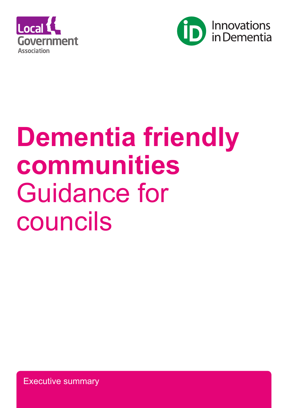



# **Dementia friendly communities**  Guidance for councils

Executive summary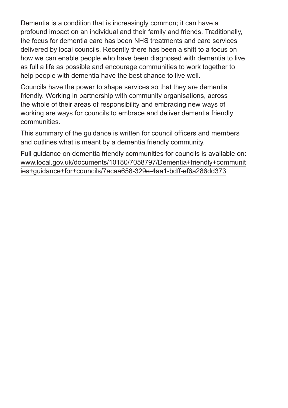Dementia is a condition that is increasingly common; it can have a profound impact on an individual and their family and friends. Traditionally, the focus for dementia care has been NHS treatments and care services delivered by local councils. Recently there has been a shift to a focus on how we can enable people who have been diagnosed with dementia to live as full a life as possible and encourage communities to work together to help people with dementia have the best chance to live well.

Councils have the power to shape services so that they are dementia friendly. Working in partnership with community organisations, across the whole of their areas of responsibility and embracing new ways of working are ways for councils to embrace and deliver dementia friendly communities.

This summary of the guidance is written for council officers and members and outlines what is meant by a dementia friendly community.

Full guidance on dementia friendly communities for councils is available on: www.local.gov.uk/documents/10180/7058797/Dementia+friendly+communit ies+guidance+for+councils/7acaa658-329e-4aa1-bdff-ef6a286dd373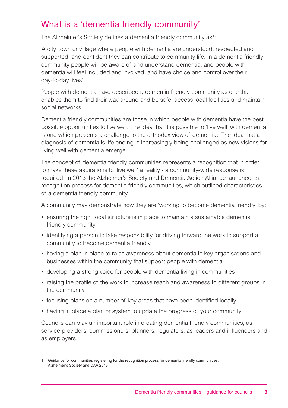## What is a 'dementia friendly community'

The Alzheimer's Society defines a dementia friendly community as<sup>1</sup>:

'A city, town or village where people with dementia are understood, respected and supported, and confident they can contribute to community life. In a dementia friendly community people will be aware of and understand dementia, and people with dementia will feel included and involved, and have choice and control over their day-to-day lives'

People with dementia have described a dementia friendly community as one that enables them to find their way around and be safe, access local facilities and maintain social networks.

Dementia friendly communities are those in which people with dementia have the best possible opportunities to live well. The idea that it is possible to 'live well' with dementia is one which presents a challenge to the orthodox view of dementia. The idea that a diagnosis of dementia is life ending is increasingly being challenged as new visions for living well with dementia emerge.

The concept of dementia friendly communities represents a recognition that in order to make these aspirations to 'live well' a reality - a community-wide response is required. In 2013 the Alzheimer's Society and Dementia Action Alliance launched its recognition process for dementia friendly communities, which outlined characteristics of a dementia friendly community.

A community may demonstrate how they are 'working to become dementia friendly' by:

- ensuring the right local structure is in place to maintain a sustainable dementia friendly community
- identifying a person to take responsibility for driving forward the work to support a community to become dementia friendly
- having a plan in place to raise awareness about dementia in key organisations and businesses within the community that support people with dementia
- developing a strong voice for people with dementia living in communities
- raising the profile of the work to increase reach and awareness to different groups in the community
- focusing plans on a number of key areas that have been identified locally
- having in place a plan or system to update the progress of your community.

Councils can play an important role in creating dementia friendly communities, as service providers, commissioners, planners, regulators, as leaders and influencers and as employers.

<sup>1</sup> Guidance for communities registering for the recognition process for dementia friendly communities. Alzheimer's Society and DAA 2013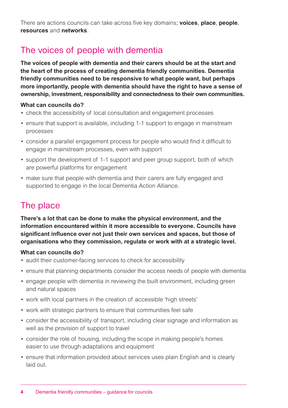There are actions councils can take across five key domains; **voices**, **place**, **people**, **resources** and **networks**.

# The voices of people with dementia

**The voices of people with dementia and their carers should be at the start and the heart of the process of creating dementia friendly communities. Dementia friendly communities need to be responsive to what people want, but perhaps more importantly, people with dementia should have the right to have a sense of ownership, investment, responsibility and connectedness to their own communities.**

## **What can councils do?**

- check the accessibility of local consultation and engagement processes
- ensure that support is available, including 1-1 support to engage in mainstream processes
- consider a parallel engagement process for people who would find it difficult to engage in mainstream processes, even with support
- support the development of 1-1 support and peer group support, both of which are powerful platforms for engagement
- make sure that people with dementia and their carers are fully engaged and supported to engage in the local Dementia Action Alliance.

# The place

**There's a lot that can be done to make the physical environment, and the information encountered within it more accessible to everyone. Councils have significant influence over not just their own services and spaces, but those of organisations who they commission, regulate or work with at a strategic level.**

#### **What can councils do?**

- audit their customer-facing services to check for accessibility
- ensure that planning departments consider the access needs of people with dementia
- engage people with dementia in reviewing the built environment, including green and natural spaces
- work with local partners in the creation of accessible 'high streets'
- work with strategic partners to ensure that communities feel safe
- consider the accessibility of transport, including clear signage and information as well as the provision of support to travel
- consider the role of housing, including the scope in making people's homes easier to use through adaptations and equipment
- ensure that information provided about services uses plain English and is clearly laid out.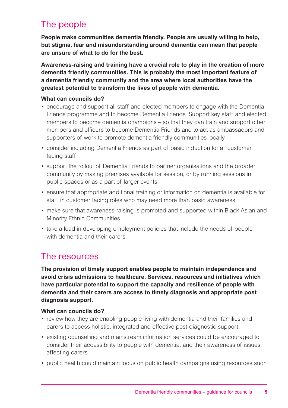# The people

**People make communities dementia friendly. People are usually willing to help, but stigma, fear and misunderstanding around dementia can mean that people are unsure of what to do for the best.**

**Awareness-raising and training have a crucial role to play in the creation of more dementia friendly communities. This is probably the most important feature of a dementia friendly community and the area where local authorities have the greatest potential to transform the lives of people with dementia.**

#### **What can councils do?**

- encourage and support all staff and elected members to engage with the Dementia Friends programme and to become Dementia Friends. Support key staff and elected members to become dementia champions – so that they can train and support other members and officers to become Dementia Friends and to act as ambassadors and supporters of work to promote dementia friendly communities locally
- consider including Dementia Friends as part of basic induction for all customer facing staff
- support the rollout of Dementia Friends to partner organisations and the broader community by making premises available for session, or by running sessions in public spaces or as a part of larger events
- ensure that appropriate additional training or information on dementia is available for staff in customer facing roles who may need more than basic awareness
- make sure that awareness-raising is promoted and supported within Black Asian and Minority Ethnic Communities
- take a lead in developing employment policies that include the needs of people with dementia and their carers.

## The resources

**The provision of timely support enables people to maintain independence and avoid crisis admissions to healthcare. Services, resources and initiatives which have particular potential to support the capacity and resilience of people with dementia and their carers are access to timely diagnosis and appropriate post diagnosis support.** 

#### **What can councils do?**

- review how they are enabling people living with dementia and their families and carers to access holistic, integrated and effective post-diagnostic support.
- existing counselling and mainstream information services could be encouraged to consider their accessibility to people with dementia, and their awareness of issues affecting carers
- public health could maintain focus on public health campaigns using resources such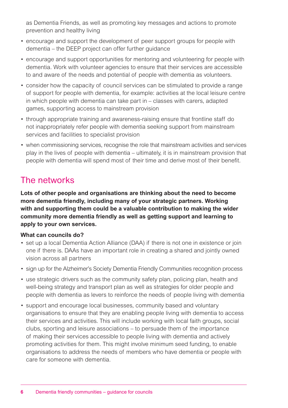as Dementia Friends, as well as promoting key messages and actions to promote prevention and healthy living

- encourage and support the development of peer support groups for people with dementia – the DEEP project can offer further guidance
- encourage and support opportunities for mentoring and volunteering for people with dementia. Work with volunteer agencies to ensure that their services are accessible to and aware of the needs and potential of people with dementia as volunteers.
- consider how the capacity of council services can be stimulated to provide a range of support for people with dementia, for example: activities at the local leisure centre in which people with dementia can take part in – classes with carers, adapted games, supporting access to mainstream provision
- through appropriate training and awareness-raising ensure that frontline staff do not inappropriately refer people with dementia seeking support from mainstream services and facilities to specialist provision
- when commissioning services, recognise the role that mainstream activities and services play in the lives of people with dementia – ultimately, it is in mainstream provision that people with dementia will spend most of their time and derive most of their benefit.

## The networks

**Lots of other people and organisations are thinking about the need to become more dementia friendly, including many of your strategic partners. Working with and supporting them could be a valuable contribution to making the wider community more dementia friendly as well as getting support and learning to apply to your own services.**

## **What can councils do?**

- set up a local Dementia Action Alliance (DAA) if there is not one in existence or join one if there is. DAAs have an important role in creating a shared and jointly owned vision across all partners
- sign up for the Alzheimer's Society Dementia Friendly Communities recognition process
- use strategic drivers such as the community safety plan, policing plan, health and well-being strategy and transport plan as well as strategies for older people and people with dementia as levers to reinforce the needs of people living with dementia
- support and encourage local businesses, community based and voluntary organisations to ensure that they are enabling people living with dementia to access their services and activities. This will include working with local faith groups, social clubs, sporting and leisure associations – to persuade them of the importance of making their services accessible to people living with dementia and actively promoting activities for them. This might involve minimum seed funding, to enable organisations to address the needs of members who have dementia or people with care for someone with dementia.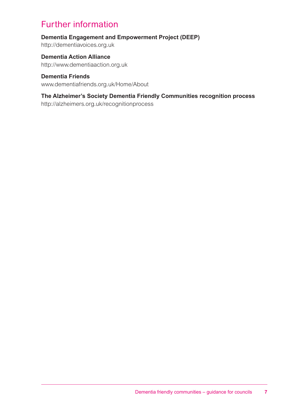# Further information

## **Dementia Engagement and Empowerment Project (DEEP)**

http://dementiavoices.org.uk

**Dementia Action Alliance** http://www.dementiaaction.org.uk

#### **Dementia Friends**

www.dementiafriends.org.uk/Home/About

## **The Alzheimer's Society Dementia Friendly Communities recognition process**

http://alzheimers.org.uk/recognitionprocess